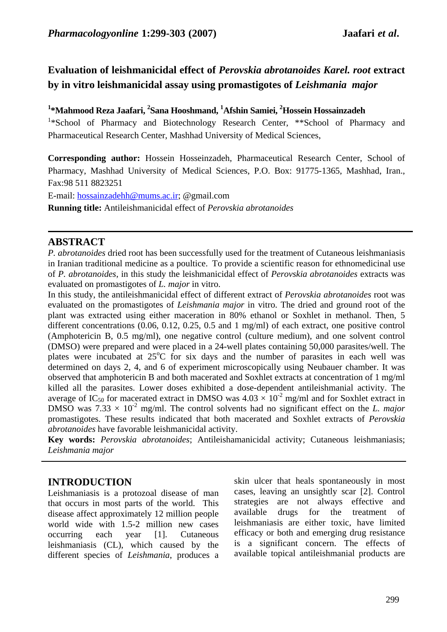# **Evaluation of leishmanicidal effect of** *Perovskia abrotanoides Karel. root* **extract by in vitro leishmanicidal assay using promastigotes of** *Leishmania major*

## <sup>1</sup>\*Mahmood Reza Jaafari, <sup>2</sup>Sana Hooshmand, <sup>1</sup>Afshin Samiei, <sup>2</sup>Hossein Hossainzadeh

<sup>1</sup>\*School of Pharmacy and Biotechnology Research Center, \*\*School of Pharmacy and Pharmaceutical Research Center, Mashhad University of Medical Sciences,

**Corresponding author:** Hossein Hosseinzadeh, Pharmaceutical Research Center, School of Pharmacy, Mashhad University of Medical Sciences, P.O. Box: 91775-1365, Mashhad, Iran., Fax:98 511 8823251

E-mail: hossainzadehh@mums.ac.ir; @gmail.com

**Running title:** Antileishmanicidal effect of *Perovskia abrotanoides* 

# **ABSTRACT**

*P. abrotanoides* dried root has been successfully used for the treatment of Cutaneous leishmaniasis in Iranian traditional medicine as a poultice. To provide a scientific reason for ethnomedicinal use of *P. abrotanoides*, in this study the leishmanicidal effect of *Perovskia abrotanoides* extracts was evaluated on promastigotes of *L. major* in vitro.

In this study, the antileishmanicidal effect of different extract of *Perovskia abrotanoides* root was evaluated on the promastigotes of *Leishmania major* in vitro. The dried and ground root of the plant was extracted using either maceration in 80% ethanol or Soxhlet in methanol. Then, 5 different concentrations (0.06, 0.12, 0.25, 0.5 and 1 mg/ml) of each extract, one positive control (Amphotericin B, 0.5 mg/ml), one negative control (culture medium), and one solvent control (DMSO) were prepared and were placed in a 24-well plates containing 50,000 parasites/well. The plates were incubated at 25°C for six days and the number of parasites in each well was determined on days 2, 4, and 6 of experiment microscopically using Neubauer chamber. It was observed that amphotericin B and both macerated and Soxhlet extracts at concentration of 1 mg/ml killed all the parasites. Lower doses exhibited a dose-dependent antileishmanial activity. The average of IC<sub>50</sub> for macerated extract in DMSO was  $4.03 \times 10^{-2}$  mg/ml and for Soxhlet extract in DMSO was  $7.33 \times 10^{-2}$  mg/ml. The control solvents had no significant effect on the *L. major* promastigotes. These results indicated that both macerated and Soxhlet extracts of *Perovskia abrotanoides* have favorable leishmanicidal activity.

**Key words:** *Perovskia abrotanoides*; Antileishamanicidal activity; Cutaneous leishmaniasis; *Leishmania major*

# **INTRODUCTION**

Leishmaniasis is a protozoal disease of man that occurs in most parts of the world. This disease affect approximately 12 million people world wide with 1.5-2 million new cases occurring each year [1]. Cutaneous leishmaniasis (CL), which caused by the different species of *Leishmania*, produces a skin ulcer that heals spontaneously in most cases, leaving an unsightly scar [2]. Control strategies are not always effective and available drugs for the treatment of leishmaniasis are either toxic, have limited efficacy or both and emerging drug resistance is a significant concern. The effects of available topical antileishmanial products are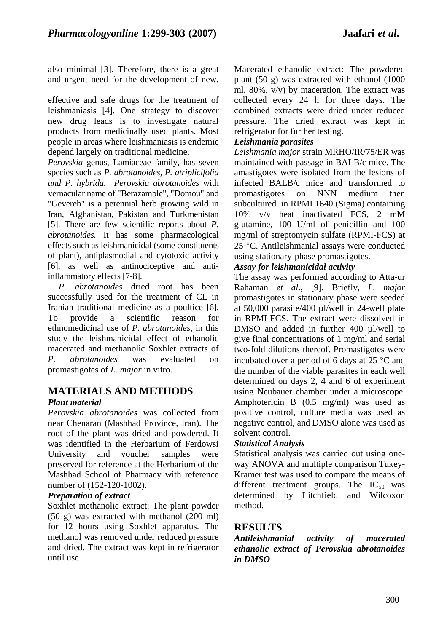also minimal [3]. Therefore, there is a great and urgent need for the development of new,

effective and safe drugs for the treatment of leishmaniasis [4]. One strategy to discover new drug leads is to investigate natural products from medicinally used plants. Most people in areas where leishmaniasis is endemic depend largely on traditional medicine.

*Perovskia* genus*,* Lamiaceae family, has seven species such as *P. abrotanoides, P. atriplicifolia and P. hybrida. Perovskia abrotanoides* with vernacular name of "Berazamble", "Domou" and "Gevereh" is a perennial herb growing wild in Iran, Afghanistan, Pakistan and Turkmenistan [5]. There are few scientific reports about *P. abrotanoides.* It has some pharmacological effects such as leishmanicidal (some constituents of plant), antiplasmodial and cytotoxic activity [6], as well as antinociceptive and antiinflammatory effects [7-8].

*P. abrotanoides* dried root has been successfully used for the treatment of CL in Iranian traditional medicine as a poultice [6]. To provide a scientific reason for ethnomedicinal use of *P. abrotanoides*, in this study the leishmanicidal effect of ethanolic macerated and methanolic Soxhlet extracts of *P. abrotanoides* was evaluated on promastigotes of *L. major* in vitro.

# **MATERIALS AND METHODS**

## *Plant material*

*Perovskia abrotanoides* was collected from near Chenaran (Mashhad Province, Iran). The root of the plant was dried and powdered. It was identified in the Herbarium of Ferdowsi University and voucher samples were preserved for reference at the Herbarium of the Mashhad School of Pharmacy with reference number of (152-120-1002).

#### *Preparation of extract*

Soxhlet methanolic extract: The plant powder (50 g) was extracted with methanol (200 ml) for 12 hours using Soxhlet apparatus. The methanol was removed under reduced pressure and dried. The extract was kept in refrigerator until use.

Macerated ethanolic extract: The powdered plant (50 g) was extracted with ethanol (1000 ml, 80%, v/v) by maceration. The extract was collected every 24 h for three days. The combined extracts were dried under reduced pressure. The dried extract was kept in refrigerator for further testing.

### *Leishmania parasites*

*Leishmania major* strain MRHO/IR/75/ER was maintained with passage in BALB/c mice. The amastigotes were isolated from the lesions of infected BALB/c mice and transformed to promastigotes on NNN medium then subcultured in RPMI 1640 (Sigma) containing 10% v/v heat inactivated FCS, 2 mM glutamine, 100 U/ml of penicillin and 100 mg/ml of streptomycin sulfate (RPMI-FCS) at 25 °C. Antileishmanial assays were conducted using stationary-phase promastigotes.

### *Assay for leishmanicidal activity*

The assay was performed according to Atta-ur Rahaman *et al*., [9]. Briefly, *L. major* promastigotes in stationary phase were seeded at 50,000 parasite/400 µl/well in 24-well plate in RPMI-FCS. The extract were dissolved in DMSO and added in further 400 ul/well to give final concentrations of 1 mg/ml and serial two-fold dilutions thereof. Promastigotes were incubated over a period of 6 days at 25 °C and the number of the viable parasites in each well determined on days 2, 4 and 6 of experiment using Neubauer chamber under a microscope. Amphotericin B (0.5 mg/ml) was used as positive control, culture media was used as negative control, and DMSO alone was used as solvent control.

#### *Statistical Analysis*

Statistical analysis was carried out using oneway ANOVA and multiple comparison Tukey-Kramer test was used to compare the means of different treatment groups. The  $IC_{50}$  was determined by Litchfield and Wilcoxon method.

## **RESULTS**

*Antileishmanial activity of macerated ethanolic extract of Perovskia abrotanoides in DMSO*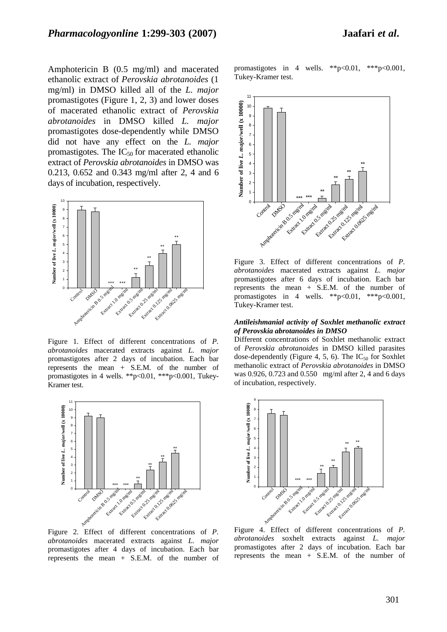Amphotericin B (0.5 mg/ml) and macerated ethanolic extract of *Perovskia abrotanoides* (1 mg/ml) in DMSO killed all of the *L. major* promastigotes (Figure 1, 2, 3) and lower doses of macerated ethanolic extract of *Perovskia abrotanoides* in DMSO killed *L. major* promastigotes dose-dependently while DMSO did not have any effect on the *L. major* promastigotes. The  $IC_{50}$  for macerated ethanolic extract of *Perovskia abrotanoides* in DMSO was 0.213, 0.652 and 0.343 mg/ml after 2, 4 and 6 days of incubation, respectively.



Figure 1. Effect of different concentrations of *P. abrotanoides* macerated extracts against *L. major* promastigotes after 2 days of incubation. Each bar represents the mean + S.E.M. of the number of promastigotes in 4 wells. \*\*p<0.01, \*\*\*p<0.001, Tukey-Kramer test.



Figure 2. Effect of different concentrations of *P. abrotanoides* macerated extracts against *L. major* promastigotes after 4 days of incubation. Each bar represents the mean + S.E.M. of the number of

promastigotes in 4 wells. \*\*p<0.01, \*\*\*p<0.001, Tukey-Kramer test.



Figure 3. Effect of different concentrations of *P. abrotanoides* macerated extracts against *L. major* promastigotes after 6 days of incubation. Each bar represents the mean + S.E.M. of the number of promastigotes in 4 wells. \*\*p<0.01, \*\*\*p<0.001, Tukey-Kramer test.

#### *Antileishmanial activity of Soxhlet methanolic extract of Perovskia abrotanoides in DMSO*

Different concentrations of Soxhlet methanolic extract of *Perovskia abrotanoides* in DMSO killed parasites dose-dependently (Figure 4, 5, 6). The  $IC_{50}$  for Soxhlet methanolic extract of *Perovskia abrotanoides* in DMSO was 0.926, 0.723 and 0.550 mg/ml after 2, 4 and 6 days of incubation, respectively.



Figure 4. Effect of different concentrations of *P. abrotanoides* soxhelt extracts against *L. major* promastigotes after 2 days of incubation. Each bar represents the mean + S.E.M. of the number of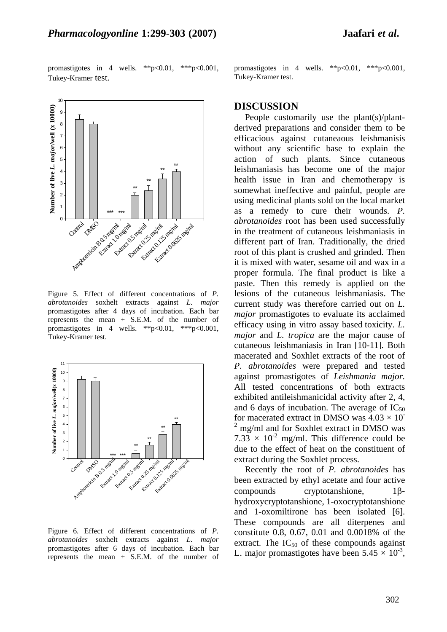

10 **Number of live** *L. major***/well (x 10000)** Number of live L. major/well (x 10000) 9 8 7 6 5 \*\* \*\*  $\overline{4}$ \*\* 3 \*\*  $2 -$ 1 \*\*\* \*\*\* Extractor 125 mayor Extractor 0.25 mg/ml Extract 0.0625 mg/ml Control Extract 1.0 mg/ml Extract 0.5 mg/ml 0 Lundration Bostone La

Figure 5. Effect of different concentrations of *P. abrotanoides* soxhelt extracts against *L. major* promastigotes after 4 days of incubation. Each bar represents the mean + S.E.M. of the number of promastigotes in 4 wells. \*\*p<0.01, \*\*\*p<0.001, Tukey-Kramer test.



Figure 6. Effect of different concentrations of *P. abrotanoides* soxhelt extracts against *L. major* promastigotes after 6 days of incubation. Each bar represents the mean + S.E.M. of the number of

promastigotes in 4 wells. \*\*p<0.01, \*\*\*p<0.001, Tukey-Kramer test.

#### **DISCUSSION**

People customarily use the plant(s)/plantderived preparations and consider them to be efficacious against cutaneaous leishmanisis without any scientific base to explain the action of such plants. Since cutaneous leishmaniasis has become one of the major health issue in Iran and chemotherapy is somewhat ineffective and painful, people are using medicinal plants sold on the local market as a remedy to cure their wounds. *P. abrotanoides* root has been used successfully in the treatment of cutaneous leishmaniasis in different part of Iran. Traditionally, the dried root of this plant is crushed and grinded. Then it is mixed with water, sesame oil and wax in a proper formula. The final product is like a paste. Then this remedy is applied on the lesions of the cutaneous leishmaniasis. The current study was therefore carried out on *L. major* promastigotes to evaluate its acclaimed efficacy using in vitro assay based toxicity. *L. major* and *L. tropica* are the major cause of cutaneous leishmaniasis in Iran [10-11]*.* Both macerated and Soxhlet extracts of the root of *P. abrotanoides* were prepared and tested against promastigotes of *Leishmania major.* All tested concentrations of both extracts exhibited antileishmanicidal activity after 2, 4, and 6 days of incubation. The average of  $IC_{50}$ for macerated extract in DMSO was  $4.03 \times 10^{-7}$ <sup>2</sup> mg/ml and for Soxhlet extract in DMSO was  $7.33 \times 10^{-2}$  mg/ml. This difference could be due to the effect of heat on the constituent of extract during the Soxhlet process.

Recently the root of *P. abrotanoides* has been extracted by ethyl acetate and four active compounds cryptotanshione, 1βhydroxycryptotanshione, 1-oxocryptotanshione and 1-oxomiltirone has been isolated [6]. These compounds are all diterpenes and constitute 0.8, 0.67, 0.01 and 0.0018% of the extract. The  $IC_{50}$  of these compounds against L. major promastigotes have been  $5.45 \times 10^{-3}$ ,